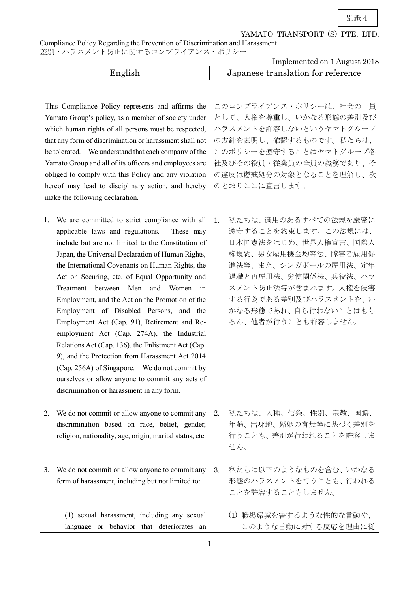別紙4

## YAMATO TRANSPORT (S) PTE. LTD.

Compliance Policy Regarding the Prevention of Discrimination and Harassment

差別・ハラスメント防止に関するコンプライアンス・ポリシー

|                                                                                                                                                                                                                                                                                                                                                                                                                                                                                                                                                                                                                                                                                                                                                                                                                       | Implemented on 1 August 2018                                                                                                                                                                                                                      |
|-----------------------------------------------------------------------------------------------------------------------------------------------------------------------------------------------------------------------------------------------------------------------------------------------------------------------------------------------------------------------------------------------------------------------------------------------------------------------------------------------------------------------------------------------------------------------------------------------------------------------------------------------------------------------------------------------------------------------------------------------------------------------------------------------------------------------|---------------------------------------------------------------------------------------------------------------------------------------------------------------------------------------------------------------------------------------------------|
| English                                                                                                                                                                                                                                                                                                                                                                                                                                                                                                                                                                                                                                                                                                                                                                                                               | Japanese translation for reference                                                                                                                                                                                                                |
| This Compliance Policy represents and affirms the<br>Yamato Group's policy, as a member of society under<br>which human rights of all persons must be respected,<br>that any form of discrimination or harassment shall not<br>be tolerated. We understand that each company of the<br>Yamato Group and all of its officers and employees are<br>obliged to comply with this Policy and any violation<br>hereof may lead to disciplinary action, and hereby<br>make the following declaration.                                                                                                                                                                                                                                                                                                                        | このコンプライアンス・ポリシーは、社会の一員<br>として、人権を尊重し、いかなる形態の差別及び<br>ハラスメントを許容しないというヤマトグループ<br>の方針を表明し、確認するものです。私たちは、<br>このポリシーを遵守することはヤマトグループ各<br>社及びその役員・従業員の全員の義務であり、そ<br>の違反は懲戒処分の対象となることを理解し、次<br>のとおりここに宣言します。                                               |
| We are committed to strict compliance with all<br>1.<br>applicable laws and regulations.<br>These may<br>include but are not limited to the Constitution of<br>Japan, the Universal Declaration of Human Rights,<br>the International Covenants on Human Rights, the<br>Act on Securing, etc. of Equal Opportunity and<br>Treatment between Men<br>and Women in<br>Employment, and the Act on the Promotion of the<br>Employment of Disabled Persons, and the<br>Employment Act (Cap. 91), Retirement and Re-<br>employment Act (Cap. 274A), the Industrial<br>Relations Act (Cap. 136), the Enlistment Act (Cap.<br>9), and the Protection from Harassment Act 2014<br>(Cap. 256A) of Singapore. We do not commit by<br>ourselves or allow anyone to commit any acts of<br>discrimination or harassment in any form. | 私たちは、適用のあるすべての法規を厳密に<br>1.<br>導守することを約束します。この法規には、<br>日本国憲法をはじめ、世界人権宣言、国際人<br>権規約、男女雇用機会均等法、障害者雇用促<br>進法等、また、シンガポールの雇用法、定年<br>退職と再雇用法、労使関係法、兵役法、ハラ<br>スメント防止法等が含まれます。 人権を侵害<br>する行為である差別及びハラスメントを、い<br>かなる形態であれ、自ら行わないことはもち<br>ろん、他者が行うことも許容しません。 |
| We do not commit or allow anyone to commit any<br>2.<br>discrimination based on race, belief, gender,<br>religion, nationality, age, origin, marital status, etc.                                                                                                                                                                                                                                                                                                                                                                                                                                                                                                                                                                                                                                                     | 私たちは、人種、信条、性別、宗教、国籍、<br>2.<br>年齢、出身地、婚姻の有無等に基づく差別を<br>行うことも、差別が行われることを許容しま<br>せん。                                                                                                                                                                 |
| We do not commit or allow anyone to commit any<br>3.<br>form of harassment, including but not limited to:                                                                                                                                                                                                                                                                                                                                                                                                                                                                                                                                                                                                                                                                                                             | 私たちは以下のようなものを含む、いかなる<br>3.<br>形態のハラスメントを行うことも、行われる<br>ことを許容することもしません。                                                                                                                                                                             |
| (1) sexual harassment, including any sexual<br>language or behavior that deteriorates an                                                                                                                                                                                                                                                                                                                                                                                                                                                                                                                                                                                                                                                                                                                              | (1) 職場環境を害するような性的な言動や、<br>このような言動に対する反応を理由に従                                                                                                                                                                                                      |